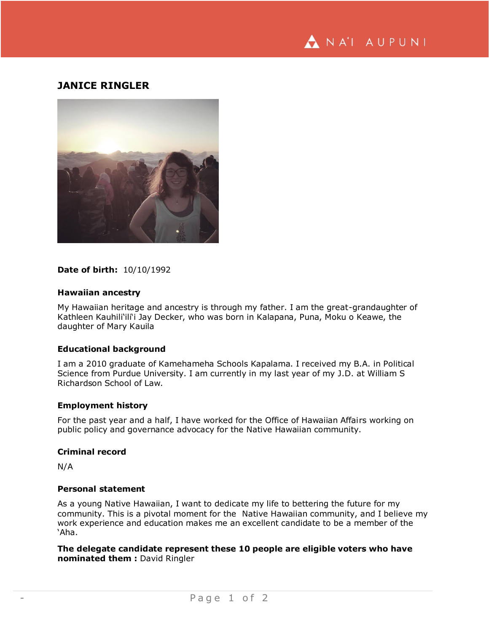

# **JANICE RINGLER**



### **Date of birth:** 10/10/1992

### **Hawaiian ancestry**

My Hawaiian heritage and ancestry is through my father. I am the great-grandaughter of Kathleen Kauhili'ili'i Jay Decker, who was born in Kalapana, Puna, Moku o Keawe, the daughter of Mary Kauila

## **Educational background**

I am a 2010 graduate of Kamehameha Schools Kapalama. I received my B.A. in Political Science from Purdue University. I am currently in my last year of my J.D. at William S Richardson School of Law.

## **Employment history**

For the past year and a half, I have worked for the Office of Hawaiian Affairs working on public policy and governance advocacy for the Native Hawaiian community.

### **Criminal record**

N/A

#### **Personal statement**

As a young Native Hawaiian, I want to dedicate my life to bettering the future for my community. This is a pivotal moment for the Native Hawaiian community, and I believe my work experience and education makes me an excellent candidate to be a member of the 'Aha.

**The delegate candidate represent these 10 people are eligible voters who have nominated them :** David Ringler